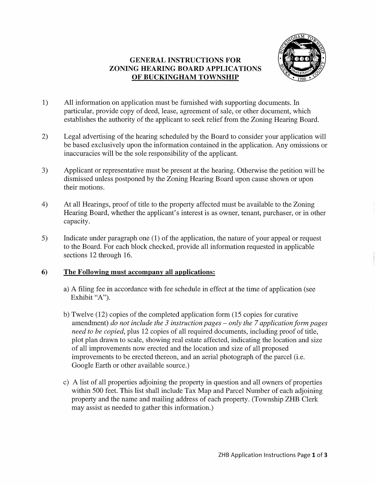## GENERAL INSTRUCTIONS FOR ZONING HEARING BOARD APPLICATIONS OF BUCKINGHAM TOWNSHIP



- 1) All information on application must be furnished with supporting documents. In particular, provide copy of deed, lease, agreement of sale, or other document, which establishes the authority of the applicant to seek relief from the Zoning Hearing Board.
- 2) Legal advertising of the hearing scheduled by the Board to consider your application will be based exclusively upon the information contained in the application. Any omissions or inaccuracies will be the sole responsibility of the applicant.
- 3) Applicant or representative must be present at the hearing. Otherwise the petition will be dismissed unless postponed by the Zoning Hearing Board upon cause shown or upon their motions.
- 4) At all Hearings, proof of title to the property affected must be available to the Zoning Hearing Board, whether the applicant's interest is as owner, tenant, purchaser, or in other capacity.
- 5) Indicate under paragraph one (1) of the application, the nature of your appeal or request to the Board. For each block checked, provide all information requested in applicable sections 12 through 16.

#### 6) The Following must accompany all applications:

- a) A filing fee in accordance with fee schedule in effect at the time of application (see Exhibit "A").
- b) Twelve (12) copies of the completed application form (15 copies for curative amendment) *do not include the* 3 *instruction pages* - *only the* 7 *application form pages need to be copied,* plus 12 copies of all required documents, including proof of title, plot plan drawn to scale, showing real estate affected, indicating the location and size of all improvements now erected and the location and size of all proposed improvements to be erected thereon, and an aerial photograph of the parcel (i.e. Google Earth or other available source.)
- c) A list of all properties adjoining the property in question and all owners of properties within 500 feet. This list shall include Tax Map and Parcel Number of each adjoining property and the name and mailing address of each property. (Township ZHB Clerk may assist as needed to gather this information.)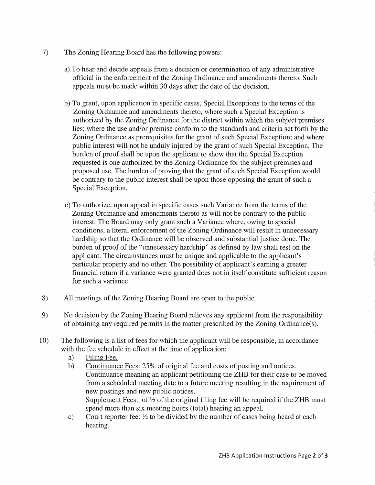- 7) The Zoning Hearing Board has the following powers:
	- a) To hear and decide appeals from a decision or determination of any administrative official in the enforcement of the Zoning Ordinance and amendments thereto. Such appeals must be made within 30 days after the date of the decision.
	- b) To grant, upon application in specific cases, Special Exceptions to the terms of the Zoning Ordinance and amendments thereto, where such a Special Exception is authorized by the Zoning Ordinance for the district within which the subject premises lies; where the use and/or premise conform to the standards and criteria set forth by the Zoning Ordinance as prerequisites for the grant of such Special Exception; and where public interest will not be unduly injured by the grant of such Special Exception. The burden of proof shall be upon the applicant to show that the Special Exception requested is one authorized by the Zoning Ordinance for the subject premises and proposed use. The burden of proving that the grant of such Special Exception would be contrary to the public interest shall be upon those opposing the grant of such a Special Exception.
	- c) To authorize, upon appeal in specific cases such Variance from the terms of the Zoning Ordinance and amendments thereto as will not be contrary to the public interest. The Board may only grant such a Variance where, owing to special conditions, a literal enforcement of the Zoning Ordinance will result in unnecessary hardship so that the Ordinance will be observed and substantial justice done. The burden of proof of the "unnecessary hardship" as defined by law shall rest on the applicant. The circumstances must be unique and applicable to the applicant's particular property and no other. The possibility of applicant's earning a greater financial return if a variance were granted does not in itself constitute sufficient reason for such a variance.
- 8) All meetings of the Zoning Hearing Board are open to the public.
- 9) No decision by the Zoning Hearing Board relieves any applicant from the responsibility of obtaining any required permits in the matter prescribed by the Zoning Ordinance(s).
- 10) The following is a list of fees for which the applicant will be responsible, in accordance with the fee schedule in effect at the time of application:
	- a) Filing Fee.
	- b) Continuance Fees: 25% of original fee and costs of posting and notices. Continuance meaning an applicant petitioning the ZHB for their case to be moved from a scheduled meeting date to a future meeting resulting in the requirement of new postings and new public notices. Supplement Fees: of <sup>1/2</sup> of the original filing fee will be required if the ZHB must spend more than six meeting hours (total) hearing an appeal.
	- c) Court reporter fee: *Y2* to be divided by the number of cases being heard at each hearing.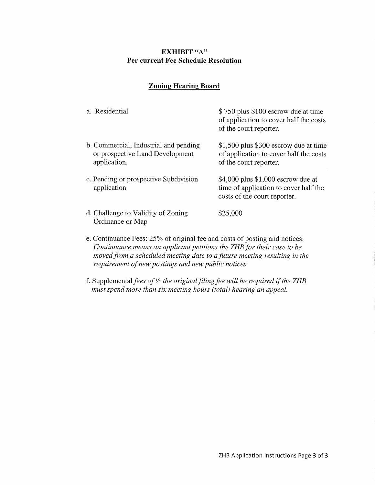## **EXHIBIT** "A" **Per current Fee Schedule Resolution**

### **Zoning Hearing Board**

| a. Residential                                                                           | \$750 plus \$100 escrow due at time<br>of application to cover half the costs<br>of the court reporter.       |
|------------------------------------------------------------------------------------------|---------------------------------------------------------------------------------------------------------------|
| b. Commercial, Industrial and pending<br>or prospective Land Development<br>application. | $$1,500$ plus \$300 escrow due at time<br>of application to cover half the costs<br>of the court reporter.    |
| c. Pending or prospective Subdivision<br>application                                     | $$4,000$ plus $$1,000$ escrow due at<br>time of application to cover half the<br>costs of the court reporter. |
| d. Challenge to Validity of Zoning<br>Ordinance or Map                                   | \$25,000                                                                                                      |

- e. Continuance Fees: 25% of original fee and costs of posting and notices. *Continuance means an applicant petitions the ZHB for their case to be moved from a scheduled meeting date to a future meeting resulting in the requirement of new postings and new public notices.*
- f. Supplemental fees of <sup>1/2</sup> the original filing fee will be required if the ZHB *must spend more than six meeting hours (total) hearing an appeal.*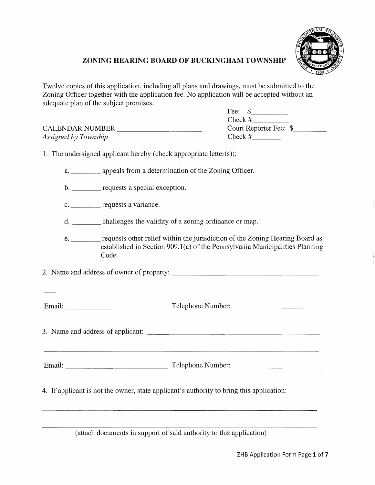

# **ZONING HEARING BOARD OF BUCKINGHAM TOWNSHIP**

Twelve copies of this application, including all plans and drawings, must be submitted to the Zoning Officer together with the application fee. No application will be accepted without an adequate plan of the subject premises.

|                        | Fee:                   |
|------------------------|------------------------|
|                        | Check #                |
| <b>CALENDAR NUMBER</b> | Court Reporter Fee: \$ |
| Assigned by Township   | Check #                |

1. The undersigned applicant hereby (check appropriate letter $(s)$ ):

a. appeals from a determination of the Zoning Officer.

- b. <u>requests</u> a special exception.
- c. <u>requests</u> a variance.
- d. challenges the validity of a zoning ordinance or map.
- e. <u>requests other relief within the jurisdiction of the Zoning Hearing Board as</u> established in Section 909.1(a) of the Pennsylvania Municipalities Planning Code.

2. Name and address of owner of property: \_\_\_\_\_\_\_\_\_\_\_\_\_\_\_\_\_ \_

Email: \_\_\_\_\_\_\_\_\_\_\_\_\_ Telephone Number: \_\_\_\_\_\_\_\_\_\_ \_

3 . Name and address of applicant:

Email: \_\_\_\_\_\_\_\_\_\_\_\_\_ Telephone Number: \_\_\_\_\_\_\_\_\_\_ \_

4. If applicant is not the owner, state applicant's authority to bring this application:

(attach documents in support of said authority to this application)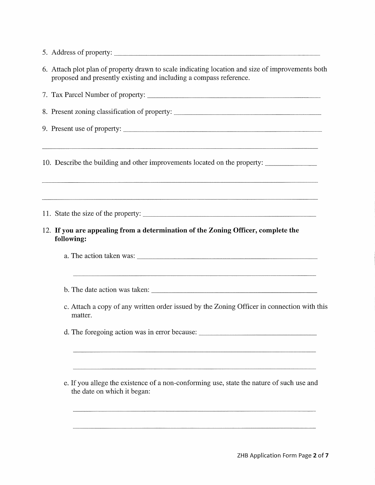- 5. Address of property:
- 6. Attach plot plan of property drawn to scale indicating location and size of improvements both proposed and presently existing and including a compass reference.

7. Tax Parcel Number of property: 8. Present zoning classification of property: \_\_\_\_\_\_\_\_\_\_\_\_\_\_\_\_\_\_\_\_\_\_\_\_\_\_\_\_\_\_\_\_\_\_\_ 9. Present use of property: 10. Describe the building and other improvements located on the property: \_\_\_\_\_\_ \_ 11. State the size of the property: \_\_\_\_\_\_\_\_\_\_\_\_\_\_\_\_\_\_\_\_ \_ 12. **If you are appealing from a determination of the Zoning Officer, complete the following:**  a. The action taken was: \_\_\_\_\_\_\_\_\_\_\_\_\_\_\_\_\_\_\_\_\_\_ \_ c. Attach a copy of any written order issued by the Zoning Officer in connection with this matter. d. The foregoing action was in error because: \_\_\_\_\_\_\_\_\_\_\_\_\_\_\_\_\_\_\_\_\_\_\_\_\_\_\_\_\_\_\_\_\_\_ e. If you allege the existence of a non-conforming use, state the nature of such use and the date on which it began: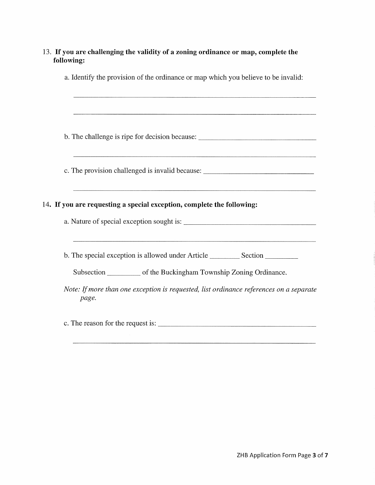| a. Identify the provision of the ordinance or map which you believe to be invalid:                                                                         |
|------------------------------------------------------------------------------------------------------------------------------------------------------------|
| b. The challenge is ripe for decision because: _________________________________                                                                           |
| c. The provision challenged is invalid because: ________________________________                                                                           |
| ,我们的人们就会在这里,我们的人们就会在这里,我们的人们就会在这里,我们的人们就会在这里,我们的人们就会在这里,我们的人们就会在这里,我们的人们就会在这里,我们<br>14. If you are requesting a special exception, complete the following: |
| b. The special exception is allowed under Article _______________________________                                                                          |
| Subsection ____________ of the Buckingham Township Zoning Ordinance.                                                                                       |
| Note: If more than one exception is requested, list ordinance references on a separate<br>page.                                                            |
|                                                                                                                                                            |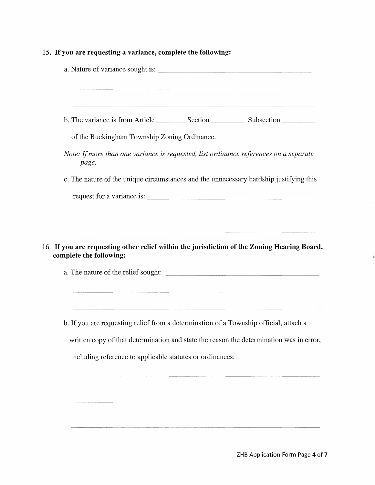# 15. **If you are requesting a variance, complete the following:**

| of the Buckingham Township Zoning Ordinance.                                                                           |                                                                                                                      |
|------------------------------------------------------------------------------------------------------------------------|----------------------------------------------------------------------------------------------------------------------|
| Note: If more than one variance is requested, list ordinance references on a separate<br>page.                         |                                                                                                                      |
| c. The nature of the unique circumstances and the unnecessary hardship justifying this                                 |                                                                                                                      |
|                                                                                                                        |                                                                                                                      |
|                                                                                                                        |                                                                                                                      |
|                                                                                                                        |                                                                                                                      |
| 16. If you are requesting other relief within the jurisdiction of the Zoning Hearing Board,<br>complete the following: |                                                                                                                      |
|                                                                                                                        |                                                                                                                      |
|                                                                                                                        | <u> 1980 - Jan Sarajan dan Samuel Barat dan Bandara dan Samuel Barat dan Bandara dan bagi dan bagi dan bagi dan </u> |
| b. If you are requesting relief from a determination of a Township official, attach a                                  |                                                                                                                      |
| written copy of that determination and state the reason the determination was in error,                                |                                                                                                                      |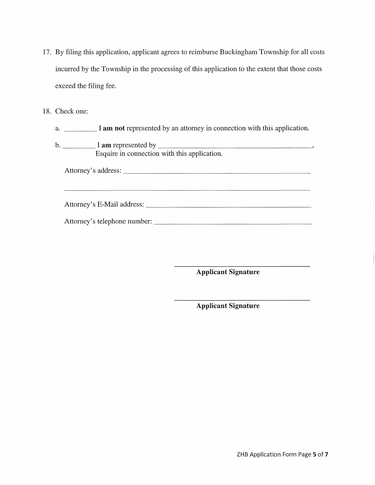- 17. By filing this application, applicant agrees to reimburse Buckingham Township for all costs incurred by the Township in the processing of this application to the extent that those costs exceed the filing fee.
- 18. Check one:
	- a. \_\_\_\_ I **am not** represented by an attorney in connection with this application.
	- b. \_\_\_\_ I **am** represented by \_\_\_\_\_\_\_\_\_\_\_\_\_\_\_\_\_\_\_ \_ Esquire in connection with this application.

Attorney's address: \_\_\_\_\_\_\_\_\_\_\_\_\_\_\_\_\_\_\_\_\_\_\_ \_

Attorney's E-Mail address: \_\_\_\_\_\_\_\_\_\_\_\_\_\_\_\_\_\_\_\_ \_

Attorney's telephone number: \_\_\_\_\_\_\_\_\_\_\_\_\_\_\_\_\_\_\_ \_

**Applicant Signature** 

**Applicant Signature**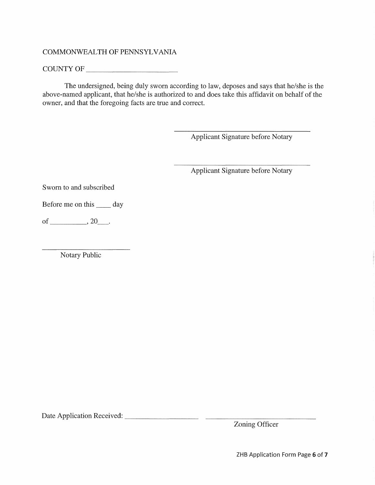# COMMONWEALTH OF PENNSYLVANIA

COUNTY OF \_\_\_\_\_\_\_\_\_ \_

The undersigned, being duly sworn according to law, deposes and says that he/she is the above-named applicant, that he/she is authorized to and does take this affidavit on behalf of the owner, and that the foregoing facts are true and correct.

Applicant Signature before Notary

Applicant Signature before Notary

Sworn to and subscribed

Before me on this \_\_\_\_\_ day

of \_\_\_\_\_ , 20\_.

Notary Public

Date Application Received: \_\_\_\_\_\_\_\_ \_